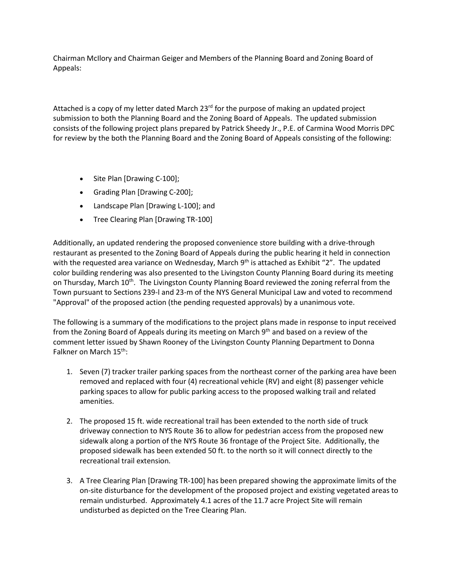Chairman McIlory and Chairman Geiger and Members of the Planning Board and Zoning Board of Appeals:

Attached is a copy of my letter dated March  $23<sup>rd</sup>$  for the purpose of making an updated project submission to both the Planning Board and the Zoning Board of Appeals. The updated submission consists of the following project plans prepared by Patrick Sheedy Jr., P.E. of Carmina Wood Morris DPC for review by the both the Planning Board and the Zoning Board of Appeals consisting of the following:

- Site Plan [Drawing C-100];
- Grading Plan [Drawing C-200];
- Landscape Plan [Drawing L-100]; and
- Tree Clearing Plan [Drawing TR-100]

Additionally, an updated rendering the proposed convenience store building with a drive-through restaurant as presented to the Zoning Board of Appeals during the public hearing it held in connection with the requested area variance on Wednesday, March 9<sup>th</sup> is attached as Exhibit "2". The updated color building rendering was also presented to the Livingston County Planning Board during its meeting on Thursday, March 10<sup>th</sup>. The Livingston County Planning Board reviewed the zoning referral from the Town pursuant to Sections 239-l and 23-m of the NYS General Municipal Law and voted to recommend "Approval" of the proposed action (the pending requested approvals) by a unanimous vote.

The following is a summary of the modifications to the project plans made in response to input received from the Zoning Board of Appeals during its meeting on March 9<sup>th</sup> and based on a review of the comment letter issued by Shawn Rooney of the Livingston County Planning Department to Donna Falkner on March 15<sup>th</sup>:

- 1. Seven (7) tracker trailer parking spaces from the northeast corner of the parking area have been removed and replaced with four (4) recreational vehicle (RV) and eight (8) passenger vehicle parking spaces to allow for public parking access to the proposed walking trail and related amenities.
- 2. The proposed 15 ft. wide recreational trail has been extended to the north side of truck driveway connection to NYS Route 36 to allow for pedestrian access from the proposed new sidewalk along a portion of the NYS Route 36 frontage of the Project Site. Additionally, the proposed sidewalk has been extended 50 ft. to the north so it will connect directly to the recreational trail extension.
- 3. A Tree Clearing Plan [Drawing TR-100] has been prepared showing the approximate limits of the on-site disturbance for the development of the proposed project and existing vegetated areas to remain undisturbed. Approximately 4.1 acres of the 11.7 acre Project Site will remain undisturbed as depicted on the Tree Clearing Plan.